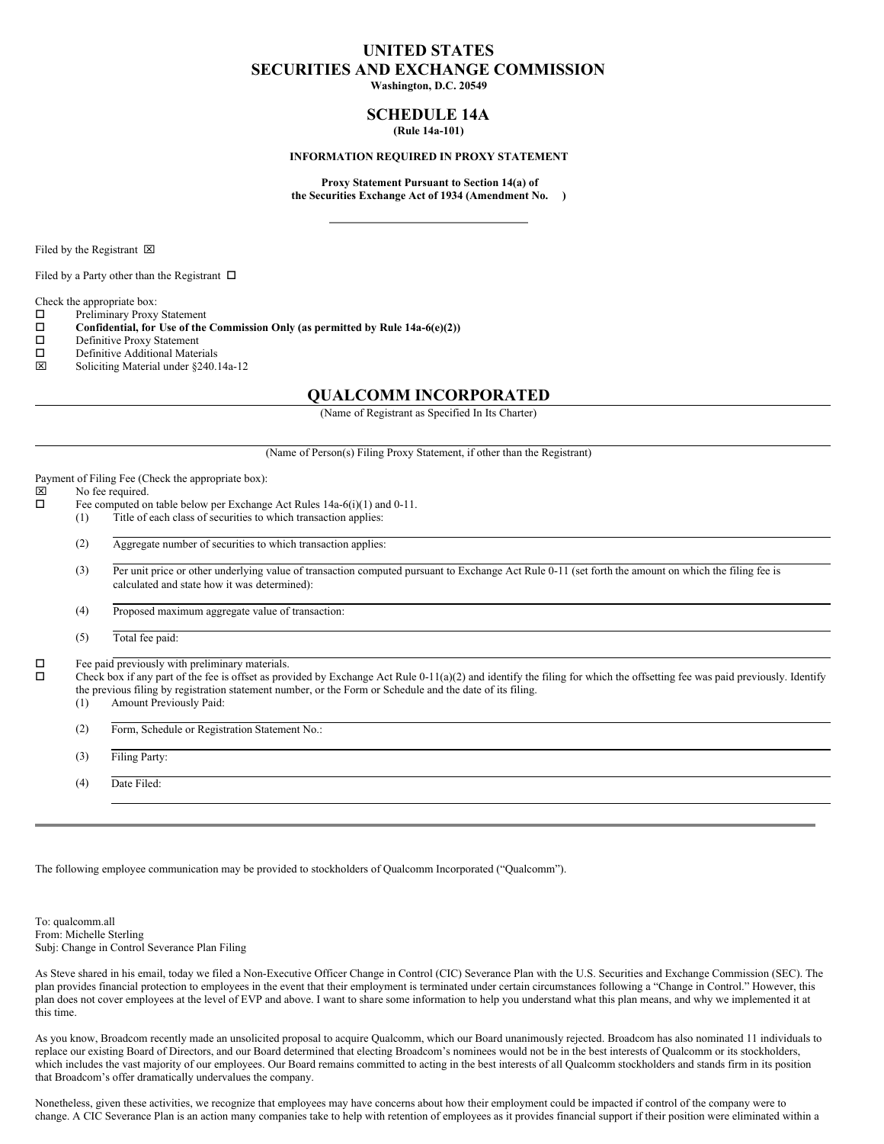# **UNITED STATES SECURITIES AND EXCHANGE COMMISSION**

**Washington, D.C. 20549**

# **SCHEDULE 14A (Rule 14a-101)**

#### **INFORMATION REQUIRED IN PROXY STATEMENT**

**Proxy Statement Pursuant to Section 14(a) of the Securities Exchange Act of 1934 (Amendment No. )**

Filed by the Registrant  $\boxtimes$ 

Filed by a Party other than the Registrant  $\Box$ 

Check the appropriate box:

 $\square$  Preliminary Proxy Statement<br> $\square$  Confidential, for Use of the

**Confidential, for** Use of the Commission Only (as permitted by Rule  $14a-6(e)(2)$ )<br>Definitive Proxy Statement

- Definitive Proxy Statement
- $\square$  Definitive Additional Materials<br> $\square$  Soliciting Material under \$240
- x Soliciting Material under §240.14a-12

# **QUALCOMM INCORPORATED**

(Name of Registrant as Specified In Its Charter)

#### (Name of Person(s) Filing Proxy Statement, if other than the Registrant)

Payment of Filing Fee (Check the appropriate box):<br> $[ \times ]$  No fee required.

# $\boxtimes$  No fee required.<br> $\Box$  Fee computed on

- Fee computed on table below per Exchange Act Rules  $14a-6(i)(1)$  and  $0-11$ . (1) Title of each class of securities to which transaction applies:
	- (2) Aggregate number of securities to which transaction applies:

(3) Per unit price or other underlying value of transaction computed pursuant to Exchange Act Rule 0-11 (set forth the amount on which the filing fee is calculated and state how it was determined):

(4) Proposed maximum aggregate value of transaction:

(5) Total fee paid:

 $\square$  Fee paid previously with preliminary materials.<br> $\square$  Check box if any part of the fee is offect as prov

o Check box if any part of the fee is offset as provided by Exchange Act Rule 0-11(a)(2) and identify the filing for which the offsetting fee was paid previously. Identify the previous filing by registration statement number, or the Form or Schedule and the date of its filing.

(1) Amount Previously Paid:

(2) Form, Schedule or Registration Statement No.:

(3) Filing Party:

(4) Date Filed:

The following employee communication may be provided to stockholders of Qualcomm Incorporated ("Qualcomm").

To: qualcomm.all From: Michelle Sterling Subj: Change in Control Severance Plan Filing

As Steve shared in his email, today we filed a Non-Executive Officer Change in Control (CIC) Severance Plan with the U.S. Securities and Exchange Commission (SEC). The plan provides financial protection to employees in the event that their employment is terminated under certain circumstances following a "Change in Control." However, this plan does not cover employees at the level of EVP and above. I want to share some information to help you understand what this plan means, and why we implemented it at this time.

As you know, Broadcom recently made an unsolicited proposal to acquire Qualcomm, which our Board unanimously rejected. Broadcom has also nominated 11 individuals to replace our existing Board of Directors, and our Board determined that electing Broadcom's nominees would not be in the best interests of Qualcomm or its stockholders, which includes the vast majority of our employees. Our Board remains committed to acting in the best interests of all Qualcomm stockholders and stands firm in its position that Broadcom's offer dramatically undervalues the company.

Nonetheless, given these activities, we recognize that employees may have concerns about how their employment could be impacted if control of the company were to change. A CIC Severance Plan is an action many companies take to help with retention of employees as it provides financial support if their position were eliminated within a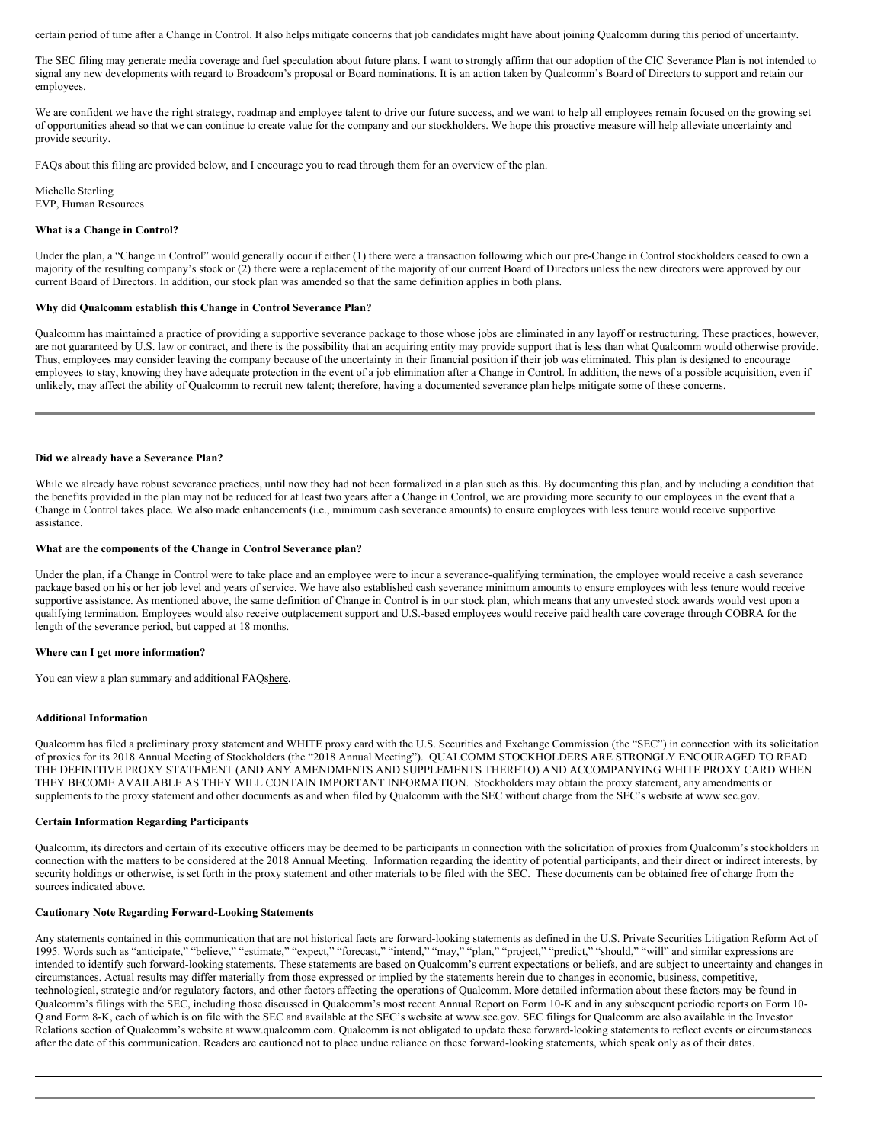certain period of time after a Change in Control. It also helps mitigate concerns that job candidates might have about joining Qualcomm during this period of uncertainty.

The SEC filing may generate media coverage and fuel speculation about future plans. I want to strongly affirm that our adoption of the CIC Severance Plan is not intended to signal any new developments with regard to Broadcom's proposal or Board nominations. It is an action taken by Qualcomm's Board of Directors to support and retain our employees.

We are confident we have the right strategy, roadmap and employee talent to drive our future success, and we want to help all employees remain focused on the growing set of opportunities ahead so that we can continue to create value for the company and our stockholders. We hope this proactive measure will help alleviate uncertainty and provide security.

FAQs about this filing are provided below, and I encourage you to read through them for an overview of the plan.

Michelle Sterling EVP, Human Resources

#### **What is a Change in Control?**

Under the plan, a "Change in Control" would generally occur if either (1) there were a transaction following which our pre-Change in Control stockholders ceased to own a majority of the resulting company's stock or (2) there were a replacement of the majority of our current Board of Directors unless the new directors were approved by our current Board of Directors. In addition, our stock plan was amended so that the same definition applies in both plans.

# **Why did Qualcomm establish this Change in Control Severance Plan?**

Qualcomm has maintained a practice of providing a supportive severance package to those whose jobs are eliminated in any layoff or restructuring. These practices, however, are not guaranteed by U.S. law or contract, and there is the possibility that an acquiring entity may provide support that is less than what Qualcomm would otherwise provide. Thus, employees may consider leaving the company because of the uncertainty in their financial position if their job was eliminated. This plan is designed to encourage employees to stay, knowing they have adequate protection in the event of a job elimination after a Change in Control. In addition, the news of a possible acquisition, even if unlikely, may affect the ability of Qualcomm to recruit new talent; therefore, having a documented severance plan helps mitigate some of these concerns.

#### **Did we already have a Severance Plan?**

While we already have robust severance practices, until now they had not been formalized in a plan such as this. By documenting this plan, and by including a condition that the benefits provided in the plan may not be reduced for at least two years after a Change in Control, we are providing more security to our employees in the event that a Change in Control takes place. We also made enhancements (i.e., minimum cash severance amounts) to ensure employees with less tenure would receive supportive assistance.

## **What are the components of the Change in Control Severance plan?**

Under the plan, if a Change in Control were to take place and an employee were to incur a severance-qualifying termination, the employee would receive a cash severance package based on his or her job level and years of service. We have also established cash severance minimum amounts to ensure employees with less tenure would receive supportive assistance. As mentioned above, the same definition of Change in Control is in our stock plan, which means that any unvested stock awards would vest upon a qualifying termination. Employees would also receive outplacement support and U.S.-based employees would receive paid health care coverage through COBRA for the length of the severance period, but capped at 18 months.

# **Where can I get more information?**

You can view a plan summary and additional FAQshere.

# **Additional Information**

Qualcomm has filed a preliminary proxy statement and WHITE proxy card with the U.S. Securities and Exchange Commission (the "SEC") in connection with its solicitation of proxies for its 2018 Annual Meeting of Stockholders (the "2018 Annual Meeting"). QUALCOMM STOCKHOLDERS ARE STRONGLY ENCOURAGED TO READ THE DEFINITIVE PROXY STATEMENT (AND ANY AMENDMENTS AND SUPPLEMENTS THERETO) AND ACCOMPANYING WHITE PROXY CARD WHEN THEY BECOME AVAILABLE AS THEY WILL CONTAIN IMPORTANT INFORMATION. Stockholders may obtain the proxy statement, any amendments or supplements to the proxy statement and other documents as and when filed by Qualcomm with the SEC without charge from the SEC's website at www.sec.gov.

#### **Certain Information Regarding Participants**

Qualcomm, its directors and certain of its executive officers may be deemed to be participants in connection with the solicitation of proxies from Qualcomm's stockholders in connection with the matters to be considered at the 2018 Annual Meeting. Information regarding the identity of potential participants, and their direct or indirect interests, by security holdings or otherwise, is set forth in the proxy statement and other materials to be filed with the SEC. These documents can be obtained free of charge from the sources indicated above.

#### **Cautionary Note Regarding Forward-Looking Statements**

Any statements contained in this communication that are not historical facts are forward-looking statements as defined in the U.S. Private Securities Litigation Reform Act of 1995. Words such as "anticipate," "believe," "estimate," "expect," "forecast," "intend," "may," "plan," "project," "predict," "should," "will" and similar expressions are intended to identify such forward-looking statements. These statements are based on Qualcomm's current expectations or beliefs, and are subject to uncertainty and changes in circumstances. Actual results may differ materially from those expressed or implied by the statements herein due to changes in economic, business, competitive, technological, strategic and/or regulatory factors, and other factors affecting the operations of Qualcomm. More detailed information about these factors may be found in Qualcomm's filings with the SEC, including those discussed in Qualcomm's most recent Annual Report on Form 10-K and in any subsequent periodic reports on Form 10- Q and Form 8-K, each of which is on file with the SEC and available at the SEC's website at www.sec.gov. SEC filings for Qualcomm are also available in the Investor Relations section of Qualcomm's website at www.qualcomm.com. Qualcomm is not obligated to update these forward-looking statements to reflect events or circumstances after the date of this communication. Readers are cautioned not to place undue reliance on these forward-looking statements, which speak only as of their dates.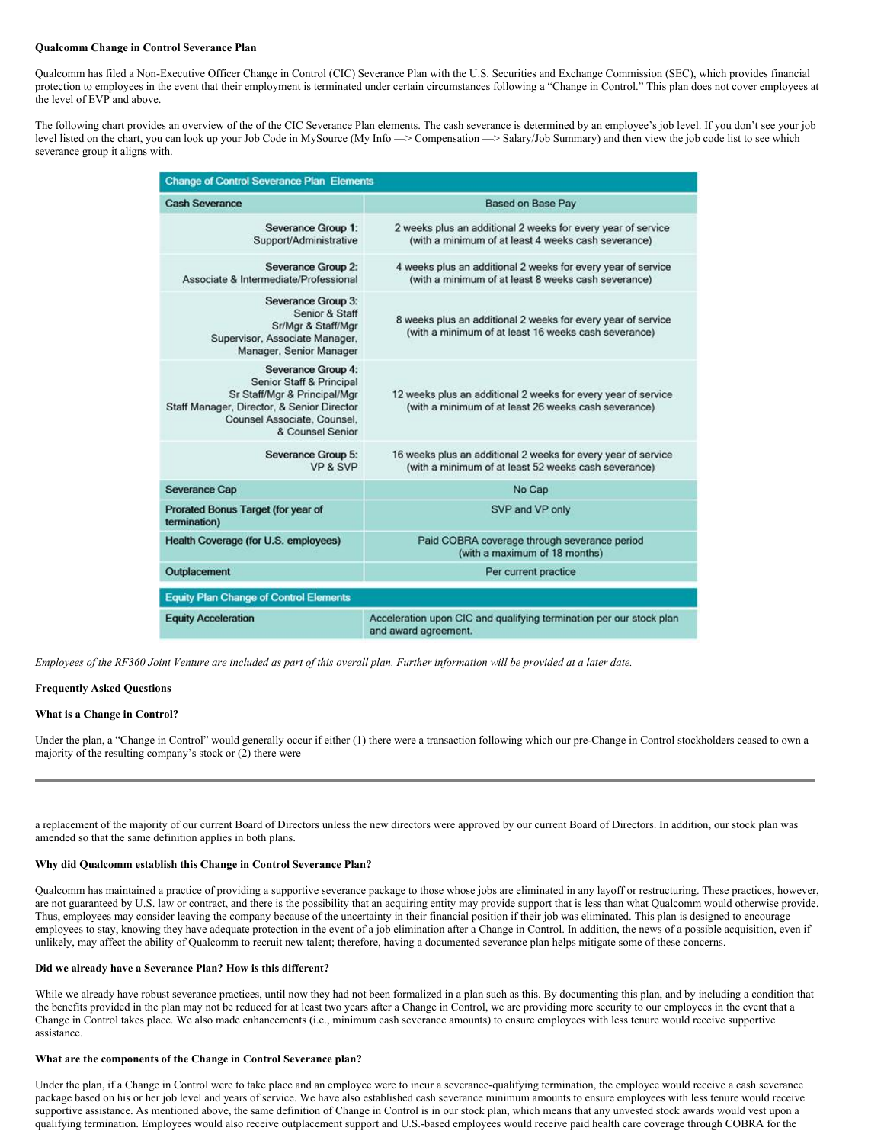#### **Qualcomm Change in Control Severance Plan**

Qualcomm has filed a Non-Executive Officer Change in Control (CIC) Severance Plan with the U.S. Securities and Exchange Commission (SEC), which provides financial protection to employees in the event that their employment is terminated under certain circumstances following a "Change in Control." This plan does not cover employees at the level of EVP and above.

The following chart provides an overview of the of the CIC Severance Plan elements. The cash severance is determined by an employee's job level. If you don't see your job level listed on the chart, you can look up your Job Code in MySource (My Info —> Compensation —> Salary/Job Summary) and then view the job code list to see which severance group it aligns with.

| <b>Change of Control Severance Plan Elements</b>                                                                                                                                |                                                                                                                       |
|---------------------------------------------------------------------------------------------------------------------------------------------------------------------------------|-----------------------------------------------------------------------------------------------------------------------|
| <b>Cash Severance</b>                                                                                                                                                           | <b>Based on Base Pay</b>                                                                                              |
| Severance Group 1:<br>Support/Administrative                                                                                                                                    | 2 weeks plus an additional 2 weeks for every year of service<br>(with a minimum of at least 4 weeks cash severance)   |
| Severance Group 2:<br>Associate & Intermediate/Professional                                                                                                                     | 4 weeks plus an additional 2 weeks for every year of service<br>(with a minimum of at least 8 weeks cash severance)   |
| Severance Group 3:<br>Senior & Staff<br>Sr/Mgr & Staff/Mgr<br>Supervisor, Associate Manager,<br>Manager, Senior Manager                                                         | 8 weeks plus an additional 2 weeks for every year of service<br>(with a minimum of at least 16 weeks cash severance)  |
| Severance Group 4:<br>Senior Staff & Principal<br>Sr Staff/Mgr & Principal/Mgr<br>Staff Manager, Director, & Senior Director<br>Counsel Associate, Counsel,<br>& Counsel Senior | 12 weeks plus an additional 2 weeks for every year of service<br>(with a minimum of at least 26 weeks cash severance) |
| Severance Group 5:<br>VP & SVP                                                                                                                                                  | 16 weeks plus an additional 2 weeks for every year of service<br>(with a minimum of at least 52 weeks cash severance) |
| <b>Severance Cap</b>                                                                                                                                                            | No Cap                                                                                                                |
| Prorated Bonus Target (for year of<br>termination)                                                                                                                              | SVP and VP only                                                                                                       |
| Health Coverage (for U.S. employees)                                                                                                                                            | Paid COBRA coverage through severance period<br>(with a maximum of 18 months)                                         |
| Outplacement                                                                                                                                                                    | Per current practice                                                                                                  |
| <b>Equity Plan Change of Control Elements</b>                                                                                                                                   |                                                                                                                       |
| <b>Equity Acceleration</b>                                                                                                                                                      | Acceleration upon CIC and qualifying termination per our stock plan<br>and award agreement.                           |

Employees of the RF360 Joint Venture are included as part of this overall plan. Further information will be provided at a later date.

#### **Frequently Asked Questions**

# **What is a Change in Control?**

Under the plan, a "Change in Control" would generally occur if either (1) there were a transaction following which our pre-Change in Control stockholders ceased to own a majority of the resulting company's stock or (2) there were

a replacement of the majority of our current Board of Directors unless the new directors were approved by our current Board of Directors. In addition, our stock plan was amended so that the same definition applies in both plans.

# **Why did Qualcomm establish this Change in Control Severance Plan?**

Qualcomm has maintained a practice of providing a supportive severance package to those whose jobs are eliminated in any layoff or restructuring. These practices, however, are not guaranteed by U.S. law or contract, and there is the possibility that an acquiring entity may provide support that is less than what Qualcomm would otherwise provide. Thus, employees may consider leaving the company because of the uncertainty in their financial position if their job was eliminated. This plan is designed to encourage employees to stay, knowing they have adequate protection in the event of a job elimination after a Change in Control. In addition, the news of a possible acquisition, even if unlikely, may affect the ability of Qualcomm to recruit new talent; therefore, having a documented severance plan helps mitigate some of these concerns.

# **Did we already have a Severance Plan? How is this different?**

While we already have robust severance practices, until now they had not been formalized in a plan such as this. By documenting this plan, and by including a condition that the benefits provided in the plan may not be reduced for at least two years after a Change in Control, we are providing more security to our employees in the event that a Change in Control takes place. We also made enhancements (i.e., minimum cash severance amounts) to ensure employees with less tenure would receive supportive assistance.

#### **What are the components of the Change in Control Severance plan?**

Under the plan, if a Change in Control were to take place and an employee were to incur a severance-qualifying termination, the employee would receive a cash severance package based on his or her job level and years of service. We have also established cash severance minimum amounts to ensure employees with less tenure would receive supportive assistance. As mentioned above, the same definition of Change in Control is in our stock plan, which means that any unvested stock awards would vest upon a qualifying termination. Employees would also receive outplacement support and U.S.-based employees would receive paid health care coverage through COBRA for the